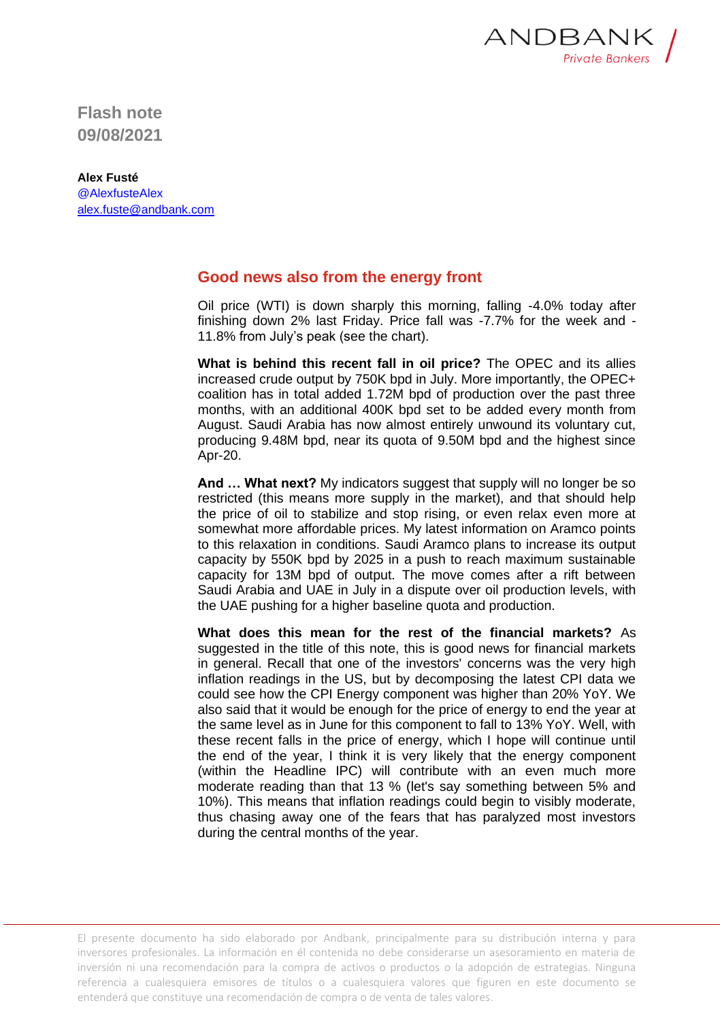

**Flash note 09/08/2021**

## **Alex Fusté**

@AlexfusteAlex [alex.fuste@andbank.com](mailto:alex.fuste@andbank.com)

## **Good news also from the energy front**

Oil price (WTI) is down sharply this morning, falling -4.0% today after finishing down 2% last Friday. Price fall was -7.7% for the week and - 11.8% from July's peak (see the chart).

**What is behind this recent fall in oil price?** The OPEC and its allies increased crude output by 750K bpd in July. More importantly, the OPEC+ coalition has in total added 1.72M bpd of production over the past three months, with an additional 400K bpd set to be added every month from August. Saudi Arabia has now almost entirely unwound its voluntary cut, producing 9.48M bpd, near its quota of 9.50M bpd and the highest since Apr-20.

**And … What next?** My indicators suggest that supply will no longer be so restricted (this means more supply in the market), and that should help the price of oil to stabilize and stop rising, or even relax even more at somewhat more affordable prices. My latest information on Aramco points to this relaxation in conditions. Saudi Aramco plans to increase its output capacity by 550K bpd by 2025 in a push to reach maximum sustainable capacity for 13M bpd of output. The move comes after a rift between Saudi Arabia and UAE in July in a dispute over oil production levels, with the UAE pushing for a higher baseline quota and production.

**What does this mean for the rest of the financial markets?** As suggested in the title of this note, this is good news for financial markets in general. Recall that one of the investors' concerns was the very high inflation readings in the US, but by decomposing the latest CPI data we could see how the CPI Energy component was higher than 20% YoY. We also said that it would be enough for the price of energy to end the year at the same level as in June for this component to fall to 13% YoY. Well, with these recent falls in the price of energy, which I hope will continue until the end of the year, I think it is very likely that the energy component (within the Headline IPC) will contribute with an even much more moderate reading than that 13 % (let's say something between 5% and 10%). This means that inflation readings could begin to visibly moderate, thus chasing away one of the fears that has paralyzed most investors during the central months of the year.

El presente documento ha sido elaborado por Andbank, principalmente para su distribución interna y para inversores profesionales. La información en él contenida no debe considerarse un asesoramiento en materia de inversión ni una recomendación para la compra de activos o productos o la adopción de estrategias. Ninguna referencia a cualesquiera emisores de títulos o a cualesquiera valores que figuren en este documento se entenderá que constituye una recomendación de compra o de venta de tales valores.